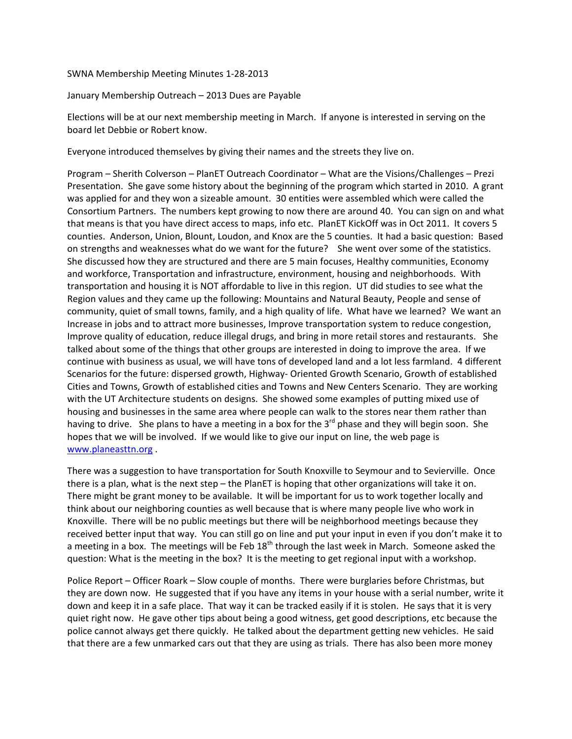SWNA Membership Meeting Minutes 1-28-2013

January Membership Outreach – 2013 Dues are Payable

Elections will be at our next membership meeting in March. If anyone is interested in serving on the board let Debbie or Robert know.

Everyone introduced themselves by giving their names and the streets they live on.

Program – Sherith Colverson – PlanET Outreach Coordinator – What are the Visions/Challenges – Prezi Presentation. She gave some history about the beginning of the program which started in 2010. A grant was applied for and they won a sizeable amount. 30 entities were assembled which were called the Consortium Partners. The numbers kept growing to now there are around 40. You can sign on and what that means is that you have direct access to maps, info etc. PlanET KickOff was in Oct 2011. It covers 5 counties. Anderson, Union, Blount, Loudon, and Knox are the 5 counties. It had a basic question: Based on strengths and weaknesses what do we want for the future? She went over some of the statistics. She discussed how they are structured and there are 5 main focuses, Healthy communities, Economy and workforce, Transportation and infrastructure, environment, housing and neighborhoods. With transportation and housing it is NOT affordable to live in this region. UT did studies to see what the Region values and they came up the following: Mountains and Natural Beauty, People and sense of community, quiet of small towns, family, and a high quality of life. What have we learned? We want an Increase in jobs and to attract more businesses, Improve transportation system to reduce congestion, Improve quality of education, reduce illegal drugs, and bring in more retail stores and restaurants. She talked about some of the things that other groups are interested in doing to improve the area. If we continue with business as usual, we will have tons of developed land and a lot less farmland. 4 different Scenarios for the future: dispersed growth, Highway- Oriented Growth Scenario, Growth of established Cities and Towns, Growth of established cities and Towns and New Centers Scenario. They are working with the UT Architecture students on designs. She showed some examples of putting mixed use of housing and businesses in the same area where people can walk to the stores near them rather than having to drive. She plans to have a meeting in a box for the  $3<sup>rd</sup>$  phase and they will begin soon. She hopes that we will be involved. If we would like to give our input on line, the web page is www.planeasttn.org.

There was a suggestion to have transportation for South Knoxville to Seymour and to Sevierville. Once there is a plan, what is the next step – the PlanET is hoping that other organizations will take it on. There might be grant money to be available. It will be important for us to work together locally and think about our neighboring counties as well because that is where many people live who work in Knoxville. There will be no public meetings but there will be neighborhood meetings because they received better input that way. You can still go on line and put your input in even if you don't make it to a meeting in a box. The meetings will be Feb  $18^{th}$  through the last week in March. Someone asked the question: What is the meeting in the box? It is the meeting to get regional input with a workshop.

Police Report – Officer Roark – Slow couple of months. There were burglaries before Christmas, but they are down now. He suggested that if you have any items in your house with a serial number, write it down and keep it in a safe place. That way it can be tracked easily if it is stolen. He says that it is very quiet right now. He gave other tips about being a good witness, get good descriptions, etc because the police cannot always get there quickly. He talked about the department getting new vehicles. He said that there are a few unmarked cars out that they are using as trials. There has also been more money